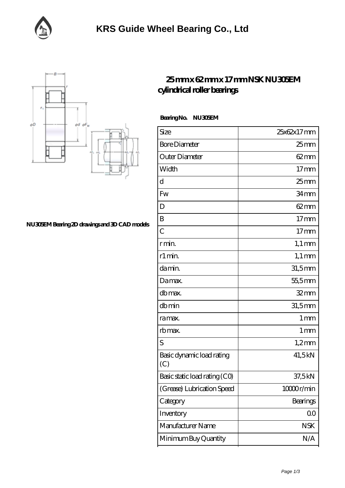



## **[25 mm x 62 mm x 17 mm NSK NU305EM](https://m.facebook-desktop.com/ar-102000-nsk-nu305em-cylindrical-roller-bearings.html) [cylindrical roller bearings](https://m.facebook-desktop.com/ar-102000-nsk-nu305em-cylindrical-roller-bearings.html)**

 **Bearing No. NU305EM**

| Size                             | 25x62x17mm       |
|----------------------------------|------------------|
| <b>Bore Diameter</b>             | $25 \text{mm}$   |
| Outer Diameter                   | $62 \text{mm}$   |
| Width                            | $17$ mm          |
| d                                | 25 <sub>mm</sub> |
| Fw                               | 34mm             |
| D                                | $62 \text{mm}$   |
| B                                | $17$ mm          |
| $\overline{C}$                   | 17 <sub>mm</sub> |
| r min.                           | $1,1 \text{ mm}$ |
| r1 min.                          | $1,1 \text{ mm}$ |
| da min.                          | 31,5mm           |
| Damax.                           | 55,5mm           |
| db max.                          | $32$ mm          |
| dbmin                            | $31,5$ mm        |
| ra max.                          | 1 <sub>mm</sub>  |
| rb max.                          | 1 <sub>mm</sub>  |
| S                                | $1,2$ mm         |
| Basic dynamic load rating<br>(C) | 41,5kN           |
| Basic static load rating (CO)    | 37,5 kN          |
| (Grease) Lubrication Speed       | 10000r/min       |
| Category                         | Bearings         |
| Inventory                        | 0 <sup>0</sup>   |
| Manufacturer Name                | <b>NSK</b>       |
| Minimum Buy Quantity             | N/A              |

**[NU305EM Bearing 2D drawings and 3D CAD models](https://m.facebook-desktop.com/pic-102000.html)**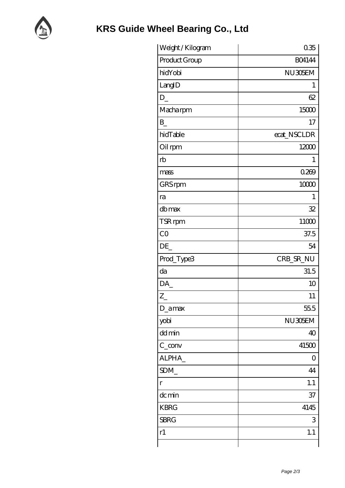

| Weight / Kilogram | 035           |
|-------------------|---------------|
| Product Group     | <b>BO4144</b> |
| hidYobi           | NU305EM       |
| LangID            | 1             |
| $D_{-}$           | 62            |
| Macharpm          | 15000         |
| B                 | 17            |
| hidTable          | ecat_NSCLDR   |
| Oil rpm           | 12000         |
| rb                | 1             |
| mass              | 0.269         |
| GRS rpm           | 10000         |
| ra                | 1             |
| dbmax             | 32            |
| TSR rpm           | 11000         |
| CO                | 37.5          |
| DE                | 54            |
| Prod_Type3        | CRB_SR_NU     |
| da                | 31.5          |
| DA                | 10            |
| $Z_{\parallel}$   | 11            |
| D_amax            | 55.5          |
| yobi              | NU305EM       |
| dd min            | 40            |
| $C_{conv}$        | 41500         |
| ALPHA_            | 0             |
| SDM               | 44            |
| $\Gamma$          | 1.1           |
| dc min            | 37            |
| <b>KBRG</b>       | 4145          |
| <b>SBRG</b>       | 3             |
| r1                | 1.1           |
|                   |               |